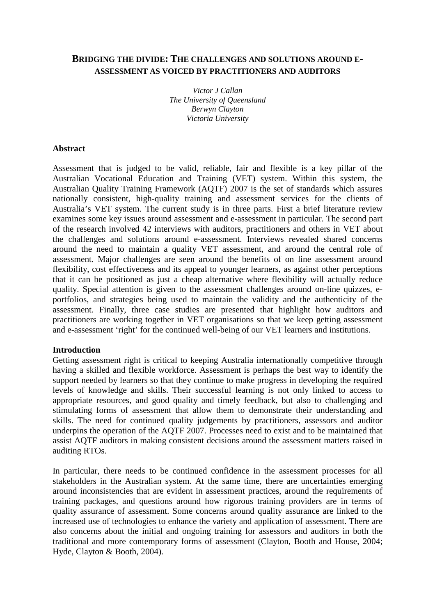# **BRIDGING THE DIVIDE: THE CHALLENGES AND SOLUTIONS AROUND E-ASSESSMENT AS VOICED BY PRACTITIONERS AND AUDITORS**

*Victor J Callan The University of Queensland Berwyn Clayton Victoria University* 

#### **Abstract**

Assessment that is judged to be valid, reliable, fair and flexible is a key pillar of the Australian Vocational Education and Training (VET) system. Within this system, the Australian Quality Training Framework (AQTF) 2007 is the set of standards which assures nationally consistent, high-quality training and assessment services for the clients of Australia's VET system. The current study is in three parts. First a brief literature review examines some key issues around assessment and e-assessment in particular. The second part of the research involved 42 interviews with auditors, practitioners and others in VET about the challenges and solutions around e-assessment. Interviews revealed shared concerns around the need to maintain a quality VET assessment, and around the central role of assessment. Major challenges are seen around the benefits of on line assessment around flexibility, cost effectiveness and its appeal to younger learners, as against other perceptions that it can be positioned as just a cheap alternative where flexibility will actually reduce quality. Special attention is given to the assessment challenges around on-line quizzes, eportfolios, and strategies being used to maintain the validity and the authenticity of the assessment. Finally, three case studies are presented that highlight how auditors and practitioners are working together in VET organisations so that we keep getting assessment and e-assessment 'right' for the continued well-being of our VET learners and institutions.

#### **Introduction**

Getting assessment right is critical to keeping Australia internationally competitive through having a skilled and flexible workforce. Assessment is perhaps the best way to identify the support needed by learners so that they continue to make progress in developing the required levels of knowledge and skills. Their successful learning is not only linked to access to appropriate resources, and good quality and timely feedback, but also to challenging and stimulating forms of assessment that allow them to demonstrate their understanding and skills. The need for continued quality judgements by practitioners, assessors and auditor underpins the operation of the AQTF 2007. Processes need to exist and to be maintained that assist AQTF auditors in making consistent decisions around the assessment matters raised in auditing RTOs.

In particular, there needs to be continued confidence in the assessment processes for all stakeholders in the Australian system. At the same time, there are uncertainties emerging around inconsistencies that are evident in assessment practices, around the requirements of training packages, and questions around how rigorous training providers are in terms of quality assurance of assessment. Some concerns around quality assurance are linked to the increased use of technologies to enhance the variety and application of assessment. There are also concerns about the initial and ongoing training for assessors and auditors in both the traditional and more contemporary forms of assessment (Clayton, Booth and House, 2004; Hyde, Clayton & Booth, 2004).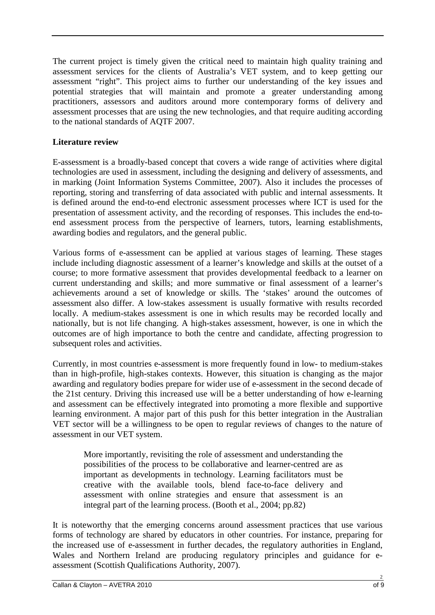The current project is timely given the critical need to maintain high quality training and assessment services for the clients of Australia's VET system, and to keep getting our assessment "right". This project aims to further our understanding of the key issues and potential strategies that will maintain and promote a greater understanding among practitioners, assessors and auditors around more contemporary forms of delivery and assessment processes that are using the new technologies, and that require auditing according to the national standards of AQTF 2007.

# **Literature review**

E-assessment is a broadly-based concept that covers a wide range of activities where digital technologies are used in assessment, including the designing and delivery of assessments, and in marking (Joint Information Systems Committee, 2007). Also it includes the processes of reporting, storing and transferring of data associated with public and internal assessments. It is defined around the end-to-end electronic assessment processes where ICT is used for the presentation of assessment activity, and the recording of responses. This includes the end-toend assessment process from the perspective of learners, tutors, learning establishments, awarding bodies and regulators, and the general public.

Various forms of e-assessment can be applied at various stages of learning. These stages include including diagnostic assessment of a learner's knowledge and skills at the outset of a course; to more formative assessment that provides developmental feedback to a learner on current understanding and skills; and more summative or final assessment of a learner's achievements around a set of knowledge or skills. The 'stakes' around the outcomes of assessment also differ. A low-stakes assessment is usually formative with results recorded locally. A medium-stakes assessment is one in which results may be recorded locally and nationally, but is not life changing. A high-stakes assessment, however, is one in which the outcomes are of high importance to both the centre and candidate, affecting progression to subsequent roles and activities.

Currently, in most countries e-assessment is more frequently found in low- to medium-stakes than in high-profile, high-stakes contexts. However, this situation is changing as the major awarding and regulatory bodies prepare for wider use of e-assessment in the second decade of the 21st century. Driving this increased use will be a better understanding of how e-learning and assessment can be effectively integrated into promoting a more flexible and supportive learning environment. A major part of this push for this better integration in the Australian VET sector will be a willingness to be open to regular reviews of changes to the nature of assessment in our VET system.

More importantly, revisiting the role of assessment and understanding the possibilities of the process to be collaborative and learner-centred are as important as developments in technology. Learning facilitators must be creative with the available tools, blend face-to-face delivery and assessment with online strategies and ensure that assessment is an integral part of the learning process. (Booth et al., 2004; pp.82)

It is noteworthy that the emerging concerns around assessment practices that use various forms of technology are shared by educators in other countries. For instance, preparing for the increased use of e-assessment in further decades, the regulatory authorities in England, Wales and Northern Ireland are producing regulatory principles and guidance for eassessment (Scottish Qualifications Authority, 2007).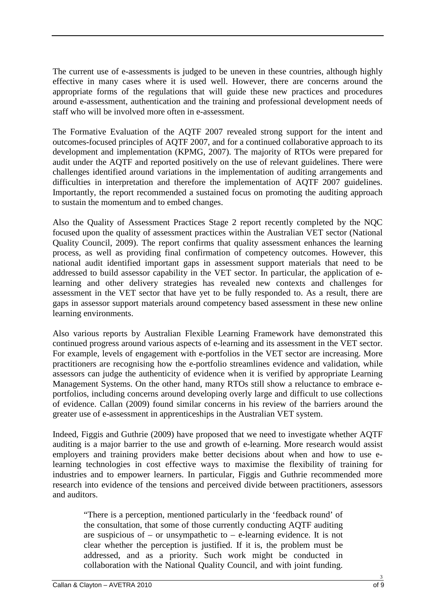The current use of e-assessments is judged to be uneven in these countries, although highly effective in many cases where it is used well. However, there are concerns around the appropriate forms of the regulations that will guide these new practices and procedures around e-assessment, authentication and the training and professional development needs of staff who will be involved more often in e-assessment.

The Formative Evaluation of the AQTF 2007 revealed strong support for the intent and outcomes-focused principles of AQTF 2007, and for a continued collaborative approach to its development and implementation (KPMG, 2007). The majority of RTOs were prepared for audit under the AQTF and reported positively on the use of relevant guidelines. There were challenges identified around variations in the implementation of auditing arrangements and difficulties in interpretation and therefore the implementation of AQTF 2007 guidelines. Importantly, the report recommended a sustained focus on promoting the auditing approach to sustain the momentum and to embed changes.

Also the Quality of Assessment Practices Stage 2 report recently completed by the NQC focused upon the quality of assessment practices within the Australian VET sector (National Quality Council, 2009). The report confirms that quality assessment enhances the learning process, as well as providing final confirmation of competency outcomes. However, this national audit identified important gaps in assessment support materials that need to be addressed to build assessor capability in the VET sector. In particular, the application of elearning and other delivery strategies has revealed new contexts and challenges for assessment in the VET sector that have yet to be fully responded to. As a result, there are gaps in assessor support materials around competency based assessment in these new online learning environments.

Also various reports by Australian Flexible Learning Framework have demonstrated this continued progress around various aspects of e-learning and its assessment in the VET sector. For example, levels of engagement with e-portfolios in the VET sector are increasing. More practitioners are recognising how the e-portfolio streamlines evidence and validation, while assessors can judge the authenticity of evidence when it is verified by appropriate Learning Management Systems. On the other hand, many RTOs still show a reluctance to embrace eportfolios, including concerns around developing overly large and difficult to use collections of evidence. Callan (2009) found similar concerns in his review of the barriers around the greater use of e-assessment in apprenticeships in the Australian VET system.

Indeed, Figgis and Guthrie (2009) have proposed that we need to investigate whether AQTF auditing is a major barrier to the use and growth of e-learning. More research would assist employers and training providers make better decisions about when and how to use elearning technologies in cost effective ways to maximise the flexibility of training for industries and to empower learners. In particular, Figgis and Guthrie recommended more research into evidence of the tensions and perceived divide between practitioners, assessors and auditors.

"There is a perception, mentioned particularly in the 'feedback round' of the consultation, that some of those currently conducting AQTF auditing are suspicious of – or unsympathetic to – e-learning evidence. It is not clear whether the perception is justified. If it is, the problem must be addressed, and as a priority. Such work might be conducted in collaboration with the National Quality Council, and with joint funding.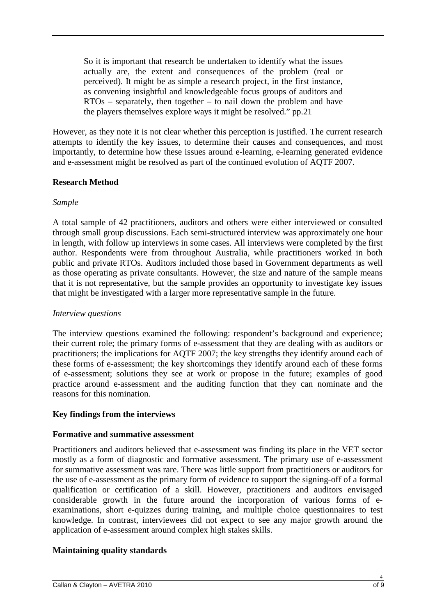So it is important that research be undertaken to identify what the issues actually are, the extent and consequences of the problem (real or perceived). It might be as simple a research project, in the first instance, as convening insightful and knowledgeable focus groups of auditors and RTOs – separately, then together – to nail down the problem and have the players themselves explore ways it might be resolved." pp.21

However, as they note it is not clear whether this perception is justified. The current research attempts to identify the key issues, to determine their causes and consequences, and most importantly, to determine how these issues around e-learning, e-learning generated evidence and e-assessment might be resolved as part of the continued evolution of AQTF 2007.

## **Research Method**

#### *Sample*

A total sample of 42 practitioners, auditors and others were either interviewed or consulted through small group discussions. Each semi-structured interview was approximately one hour in length, with follow up interviews in some cases. All interviews were completed by the first author. Respondents were from throughout Australia, while practitioners worked in both public and private RTOs. Auditors included those based in Government departments as well as those operating as private consultants. However, the size and nature of the sample means that it is not representative, but the sample provides an opportunity to investigate key issues that might be investigated with a larger more representative sample in the future.

#### *Interview questions*

The interview questions examined the following: respondent's background and experience; their current role; the primary forms of e-assessment that they are dealing with as auditors or practitioners; the implications for AQTF 2007; the key strengths they identify around each of these forms of e-assessment; the key shortcomings they identify around each of these forms of e-assessment; solutions they see at work or propose in the future; examples of good practice around e-assessment and the auditing function that they can nominate and the reasons for this nomination.

## **Key findings from the interviews**

#### **Formative and summative assessment**

Practitioners and auditors believed that e-assessment was finding its place in the VET sector mostly as a form of diagnostic and formative assessment. The primary use of e-assessment for summative assessment was rare. There was little support from practitioners or auditors for the use of e-assessment as the primary form of evidence to support the signing-off of a formal qualification or certification of a skill. However, practitioners and auditors envisaged considerable growth in the future around the incorporation of various forms of eexaminations, short e-quizzes during training, and multiple choice questionnaires to test knowledge. In contrast, interviewees did not expect to see any major growth around the application of e-assessment around complex high stakes skills.

## **Maintaining quality standards**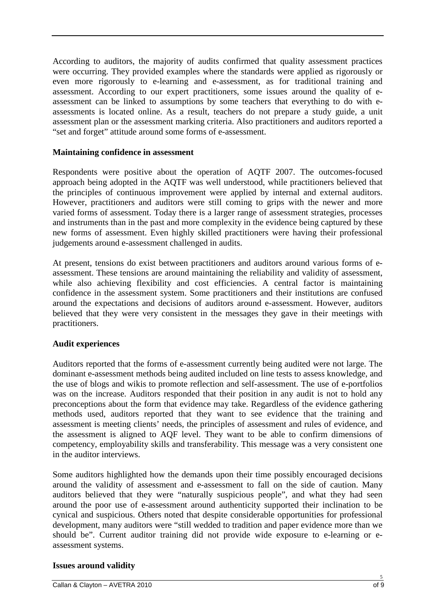According to auditors, the majority of audits confirmed that quality assessment practices were occurring. They provided examples where the standards were applied as rigorously or even more rigorously to e-learning and e-assessment, as for traditional training and assessment. According to our expert practitioners, some issues around the quality of eassessment can be linked to assumptions by some teachers that everything to do with eassessments is located online. As a result, teachers do not prepare a study guide, a unit assessment plan or the assessment marking criteria. Also practitioners and auditors reported a "set and forget" attitude around some forms of e-assessment.

#### **Maintaining confidence in assessment**

Respondents were positive about the operation of AQTF 2007. The outcomes-focused approach being adopted in the AQTF was well understood, while practitioners believed that the principles of continuous improvement were applied by internal and external auditors. However, practitioners and auditors were still coming to grips with the newer and more varied forms of assessment. Today there is a larger range of assessment strategies, processes and instruments than in the past and more complexity in the evidence being captured by these new forms of assessment. Even highly skilled practitioners were having their professional judgements around e-assessment challenged in audits.

At present, tensions do exist between practitioners and auditors around various forms of eassessment. These tensions are around maintaining the reliability and validity of assessment, while also achieving flexibility and cost efficiencies. A central factor is maintaining confidence in the assessment system. Some practitioners and their institutions are confused around the expectations and decisions of auditors around e-assessment. However, auditors believed that they were very consistent in the messages they gave in their meetings with practitioners.

## **Audit experiences**

Auditors reported that the forms of e-assessment currently being audited were not large. The dominant e-assessment methods being audited included on line tests to assess knowledge, and the use of blogs and wikis to promote reflection and self-assessment. The use of e-portfolios was on the increase. Auditors responded that their position in any audit is not to hold any preconceptions about the form that evidence may take. Regardless of the evidence gathering methods used, auditors reported that they want to see evidence that the training and assessment is meeting clients' needs, the principles of assessment and rules of evidence, and the assessment is aligned to AQF level. They want to be able to confirm dimensions of competency, employability skills and transferability. This message was a very consistent one in the auditor interviews.

Some auditors highlighted how the demands upon their time possibly encouraged decisions around the validity of assessment and e-assessment to fall on the side of caution. Many auditors believed that they were "naturally suspicious people", and what they had seen around the poor use of e-assessment around authenticity supported their inclination to be cynical and suspicious. Others noted that despite considerable opportunities for professional development, many auditors were "still wedded to tradition and paper evidence more than we should be". Current auditor training did not provide wide exposure to e-learning or eassessment systems.

## **Issues around validity**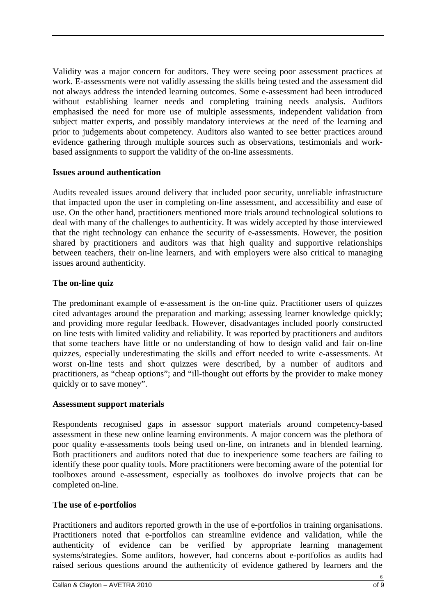Validity was a major concern for auditors. They were seeing poor assessment practices at work. E-assessments were not validly assessing the skills being tested and the assessment did not always address the intended learning outcomes. Some e-assessment had been introduced without establishing learner needs and completing training needs analysis. Auditors emphasised the need for more use of multiple assessments, independent validation from subject matter experts, and possibly mandatory interviews at the need of the learning and prior to judgements about competency. Auditors also wanted to see better practices around evidence gathering through multiple sources such as observations, testimonials and workbased assignments to support the validity of the on-line assessments.

## **Issues around authentication**

Audits revealed issues around delivery that included poor security, unreliable infrastructure that impacted upon the user in completing on-line assessment, and accessibility and ease of use. On the other hand, practitioners mentioned more trials around technological solutions to deal with many of the challenges to authenticity. It was widely accepted by those interviewed that the right technology can enhance the security of e-assessments. However, the position shared by practitioners and auditors was that high quality and supportive relationships between teachers, their on-line learners, and with employers were also critical to managing issues around authenticity.

## **The on-line quiz**

The predominant example of e-assessment is the on-line quiz. Practitioner users of quizzes cited advantages around the preparation and marking; assessing learner knowledge quickly; and providing more regular feedback. However, disadvantages included poorly constructed on line tests with limited validity and reliability. It was reported by practitioners and auditors that some teachers have little or no understanding of how to design valid and fair on-line quizzes, especially underestimating the skills and effort needed to write e-assessments. At worst on-line tests and short quizzes were described, by a number of auditors and practitioners, as "cheap options"; and "ill-thought out efforts by the provider to make money quickly or to save money".

#### **Assessment support materials**

Respondents recognised gaps in assessor support materials around competency-based assessment in these new online learning environments. A major concern was the plethora of poor quality e-assessments tools being used on-line, on intranets and in blended learning. Both practitioners and auditors noted that due to inexperience some teachers are failing to identify these poor quality tools. More practitioners were becoming aware of the potential for toolboxes around e-assessment, especially as toolboxes do involve projects that can be completed on-line.

#### **The use of e-portfolios**

Practitioners and auditors reported growth in the use of e-portfolios in training organisations. Practitioners noted that e-portfolios can streamline evidence and validation, while the authenticity of evidence can be verified by appropriate learning management systems/strategies. Some auditors, however, had concerns about e-portfolios as audits had raised serious questions around the authenticity of evidence gathered by learners and the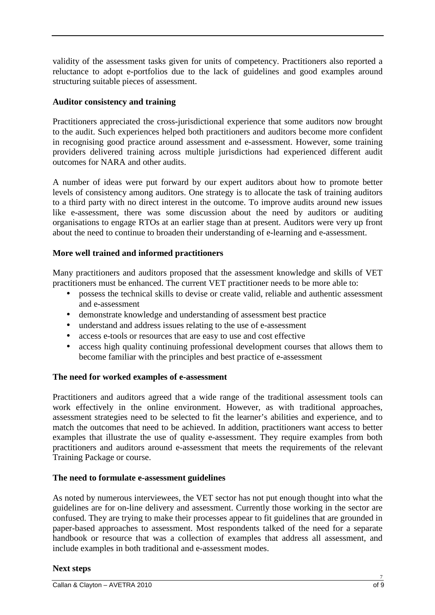validity of the assessment tasks given for units of competency. Practitioners also reported a reluctance to adopt e-portfolios due to the lack of guidelines and good examples around structuring suitable pieces of assessment.

## **Auditor consistency and training**

Practitioners appreciated the cross-jurisdictional experience that some auditors now brought to the audit. Such experiences helped both practitioners and auditors become more confident in recognising good practice around assessment and e-assessment. However, some training providers delivered training across multiple jurisdictions had experienced different audit outcomes for NARA and other audits.

A number of ideas were put forward by our expert auditors about how to promote better levels of consistency among auditors. One strategy is to allocate the task of training auditors to a third party with no direct interest in the outcome. To improve audits around new issues like e-assessment, there was some discussion about the need by auditors or auditing organisations to engage RTOs at an earlier stage than at present. Auditors were very up front about the need to continue to broaden their understanding of e-learning and e-assessment.

## **More well trained and informed practitioners**

Many practitioners and auditors proposed that the assessment knowledge and skills of VET practitioners must be enhanced. The current VET practitioner needs to be more able to:

- possess the technical skills to devise or create valid, reliable and authentic assessment and e-assessment
- demonstrate knowledge and understanding of assessment best practice
- understand and address issues relating to the use of e-assessment
- access e-tools or resources that are easy to use and cost effective
- access high quality continuing professional development courses that allows them to become familiar with the principles and best practice of e-assessment

## **The need for worked examples of e-assessment**

Practitioners and auditors agreed that a wide range of the traditional assessment tools can work effectively in the online environment. However, as with traditional approaches, assessment strategies need to be selected to fit the learner's abilities and experience, and to match the outcomes that need to be achieved. In addition, practitioners want access to better examples that illustrate the use of quality e-assessment. They require examples from both practitioners and auditors around e-assessment that meets the requirements of the relevant Training Package or course.

## **The need to formulate e-assessment guidelines**

As noted by numerous interviewees, the VET sector has not put enough thought into what the guidelines are for on-line delivery and assessment. Currently those working in the sector are confused. They are trying to make their processes appear to fit guidelines that are grounded in paper-based approaches to assessment. Most respondents talked of the need for a separate handbook or resource that was a collection of examples that address all assessment, and include examples in both traditional and e-assessment modes.

## **Next steps**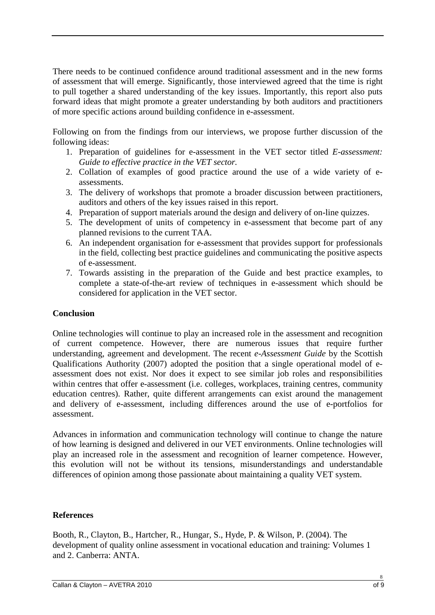There needs to be continued confidence around traditional assessment and in the new forms of assessment that will emerge. Significantly, those interviewed agreed that the time is right to pull together a shared understanding of the key issues. Importantly, this report also puts forward ideas that might promote a greater understanding by both auditors and practitioners of more specific actions around building confidence in e-assessment.

Following on from the findings from our interviews, we propose further discussion of the following ideas:

- 1. Preparation of guidelines for e-assessment in the VET sector titled *E-assessment: Guide to effective practice in the VET sector.*
- 2. Collation of examples of good practice around the use of a wide variety of eassessments.
- 3. The delivery of workshops that promote a broader discussion between practitioners, auditors and others of the key issues raised in this report.
- 4. Preparation of support materials around the design and delivery of on-line quizzes.
- 5. The development of units of competency in e-assessment that become part of any planned revisions to the current TAA.
- 6. An independent organisation for e-assessment that provides support for professionals in the field, collecting best practice guidelines and communicating the positive aspects of e-assessment.
- 7. Towards assisting in the preparation of the Guide and best practice examples, to complete a state-of-the-art review of techniques in e-assessment which should be considered for application in the VET sector.

## **Conclusion**

Online technologies will continue to play an increased role in the assessment and recognition of current competence. However, there are numerous issues that require further understanding, agreement and development. The recent *e-Assessment Guide* by the Scottish Qualifications Authority (2007) adopted the position that a single operational model of eassessment does not exist. Nor does it expect to see similar job roles and responsibilities within centres that offer e-assessment (i.e. colleges, workplaces, training centres, community education centres). Rather, quite different arrangements can exist around the management and delivery of e-assessment, including differences around the use of e-portfolios for assessment.

Advances in information and communication technology will continue to change the nature of how learning is designed and delivered in our VET environments. Online technologies will play an increased role in the assessment and recognition of learner competence. However, this evolution will not be without its tensions, misunderstandings and understandable differences of opinion among those passionate about maintaining a quality VET system.

## **References**

Booth, R., Clayton, B., Hartcher, R., Hungar, S., Hyde, P. & Wilson, P. (2004). The development of quality online assessment in vocational education and training: Volumes 1 and 2. Canberra: ANTA.